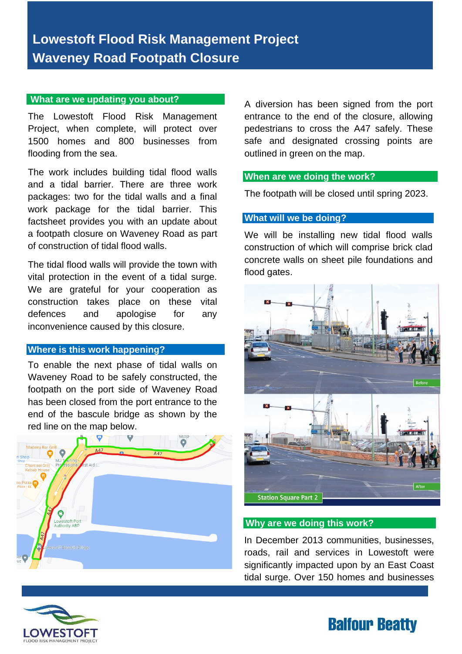#### **What are we updating you about?**

The Lowestoft Flood Risk Management Project, when complete, will protect over 1500 homes and 800 businesses from flooding from the sea.

The work includes building tidal flood walls and a tidal barrier. There are three work packages: two for the tidal walls and a final work package for the tidal barrier. This factsheet provides you with an update about a footpath closure on Waveney Road as part of construction of tidal flood walls.

The tidal flood walls will provide the town with vital protection in the event of a tidal surge. We are grateful for your cooperation as construction takes place on these vital defences and apologise for any inconvenience caused by this closure.

## **Where is this work happening?**

To enable the next phase of tidal walls on Waveney Road to be safely constructed, the footpath on the port side of Waveney Road has been closed from the port entrance to the end of the bascule bridge as shown by the red line on the map below.



A diversion has been signed from the port entrance to the end of the closure, allowing pedestrians to cross the A47 safely. These safe and designated crossing points are outlined in green on the map.

## **When are we doing the work?**

The footpath will be closed until spring 2023.

## **What will we be doing?**

We will be installing new tidal flood walls construction of which will comprise brick clad concrete walls on sheet pile foundations and flood gates.



#### **Why are we doing this work?**

In December 2013 communities, businesses, roads, rail and services in Lowestoft were significantly impacted upon by an East Coast tidal surge. Over 150 homes and businesses



# **Balfour Beatty**